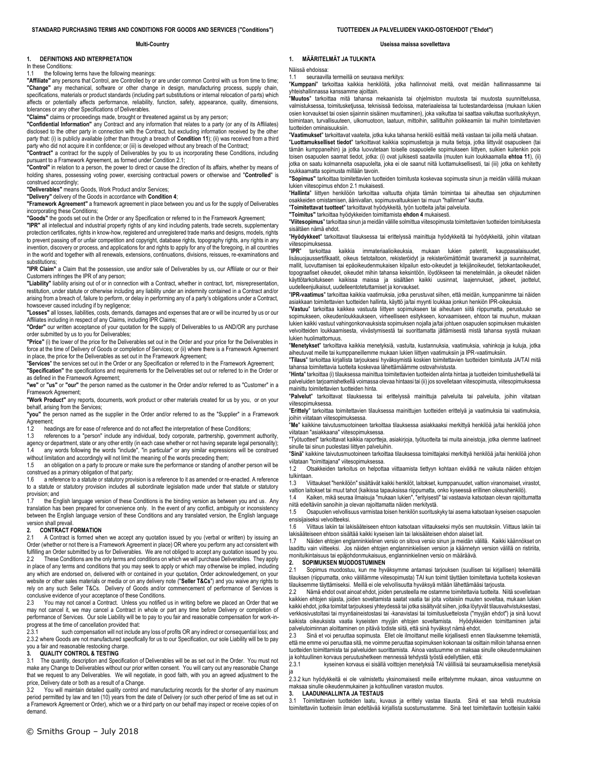#### **Multi-Country**

#### **1. DEFINITIONS AND INTERPRETATION**

In these Conditions:

1.1 the following terms have the following meanings:

**"Affiliate"** any persons that Control, are Controlled by or are under common Control with us from time to time; **"Change"** any mechanical, software or other change in design, manufacturing process, supply chain, specifications, materials or product standards (including part substitutions or internal relocation of parts) which affects or potentially affects performance, reliability, function, safety, appearance, quality, dimensions, tolerances or any other Specifications of Deliverables.

**"Claims"** claims or proceedings made, brought or threatened against us by any person;

**"Confidential Information"** any Contract and any information that relates to a party (or any of its Affiliates) disclosed to the other party in connection with the Contract, but excluding information received by the other party that: (i) is publicly available (other than through a breach of **Conditio[n 11](#page-3-0)**); (ii) was received from a third party who did not acquire it in confidence; or (iii) is developed without any breach of the Contract;

**"Contract"** a contract for the supply of Deliverables by you to us incorporating these Conditions, including

pursuant to a Framework Agreement, as formed under Conditio[n 2.1;](#page-0-0)  **"Control"** in relation to a person, the power to direct or cause the direction of its affairs, whether by means of holding shares, possessing voting power, exercising contractual powers or otherwise and "**Controlled**" is construed accordingly;

**"Deliverables"** means Goods, Work Product and/or Services;

**"Delivery"** delivery of the Goods in accordance with **Conditio[n 4](#page-1-0)**;

**"Framework Agreement"** a framework agreement in place between you and us for the supply of Deliverables incorporating these Conditions;

**"Goods"** the goods set out in the Order or any Specification or referred to in the Framework Agreement;

**"IPR"** all intellectual and industrial property rights of any kind including patents, trade secrets, supplementary protection certificates, rights in know-how, registered and unregistered trade marks and designs, models, rights to prevent passing off or unfair competition and copyright, database rights, topography rights, any rights in any invention, discovery or process, and applications for and rights to apply for any of the foregoing, in all countries in the world and together with all renewals, extensions, continuations, divisions, reissues, re-examinations and substitutions:

**"IPR Claim"** a Claim that the possession, use and/or sale of Deliverables by us, our Affiliate or our or their Customers infringes the IPR of any person;

**"Liability"** liability arising out of or in connection with a Contract, whether in contract, tort, misrepresentation, restitution, under statute or otherwise including any liability under an indemnity contained in a Contract and/or arising from a breach of, failure to perform, or delay in performing any of a party's obligations under a Contract, howsoever caused including if by negligence;

**"Losses"** all losses, liabilities, costs, demands, damages and expenses that are or will be incurred by us or our Affiliates including in respect of any Claims, including IPR Claims;

**"Order"** our written acceptance of your quotation for the supply of Deliverables to us AND/OR any purchase order submitted by us to you for Deliverables;

**"Price"** (i) the lower of the price for the Deliverables set out in the Order and your price for the Deliverables in force at the time of Delivery of Goods or completion of Services; or (ii) where there is a Framework Agreement in place, the price for the Deliverables as set out in the Framework Agreement;

"Services" the services set out in the Order or any Specification or referred to in the Framework Agreement;<br>"Specification" the specifications and requirements for the Deliverables set out or referred to in the Order or as defined in the Framework Agreement;

**"we"** or **"us"** or **"our"** the person named as the customer in the Order and/or referred to as "Customer" in a Framework Agreement;

**"Work Product"** any reports, documents, work product or other materials created for us by you, or on your behalf, arising from the Services;

**"you"** the person named as the supplier in the Order and/or referred to as the "Supplier" in a Framework Agreement;<br>1.2 head

headings are for ease of reference and do not affect the interpretation of these Conditions;

1.3 references to a "person" include any individual, body corporate, partnership, government authority,

agency or department, state or any other entity (in each case whether or not having separate legal personality); 1.4 any words following the words "include", "in particular" or any similar expressions will be construed

without limitation and accordingly will not limit the meaning of the words preceding them

1.5 an obligation on a party to procure or make sure the performance or standing of another person will be construed as a primary obligation of that party;

1.6 a reference to a statute or statutory provision is a reference to it as amended or re-enacted. A reference to a statute or statutory provision includes all subordinate legislation made under that statute or statutory provision; and<br>1.7 the End

the English language version of these Conditions is the binding version as between you and us. Any translation has been prepared for convenience only. In the event of any conflict, ambiguity or inconsistency between the English language version of these Conditions and any translated version, the English language version shall prevail.

#### **2. CONTRACT FORMATION**

2.1 A Contract is formed when we accept any quotation issued by you (verbal or written) by issuing an Order (whether or not there is a Framework Agreement in place) OR where you perform any act consistent with fulfilling an Order submitted by us for Deliverables. We are not obliged to accept any quotation issued by you.<br>2.2 These Conditions are the only terms and conditions on which we will purchase Deliverables. They apply These Conditions are the only terms and conditions on which we will purchase Deliverables. They apply in place of any terms and conditions that you may seek to apply or which may otherwise be implied, including any which are endorsed on, delivered with or contained in your quotation, Order acknowledgement, on your

website or other sales materials or media or on any delivery note ("**Seller T&Cs**") and you waive any rights to rely on any such Seller T&Cs. Delivery of Goods and/or commencement of performance of Services is conclusive evidence of your acceptance of these Conditions.<br>2.3 You may not cancel a Contract. Unless you notified You may not cancel a Contract. Unless you notified us in writing before we placed an Order that we

may not cancel it, we may cancel a Contract in whole or part any time before Delivery or completion of performance of Services. Our sole Liability will be to pay to you fair and reasonable compensation for work-inprogress at the time of cancellation provided that:

2.3.1 such compensation will not include any loss of profits OR any indirect or consequential loss; and 2.3.2 where Goods are not manufactured specifically for us to our Specification, our sole Liability will be to pay you a fair and reasonable restocking charge.

#### **3. QUALITY CONTROL & TESTING**

3.1 The quantity, description and Specification of Deliverables will be as set out in the Order. You must not make any Change to Deliverables without our prior written consent. You will carry out any reasonable Change that we request to any Deliverables. We will negotiate, in good faith, with you an agreed adjustment to the price, Delivery date or both as a result of a Change.

3.2 You will maintain detailed quality control and manufacturing records for the shorter of any maximum period permitted by law and ten (10) years from the date of Delivery (or such other period of time as set out in a Framework Agreement or Order), which we or a third party on our behalf may inspect or receive copies of on demand.

#### **Useissa maissa sovellettava**

**1. MÄÄRITELMÄT JA TULKINTA**

Näissä ehdoissa:

seuraavilla termeillä on seuraava merkitys:

"**Kumppani**" tarkoittaa kaikkia henkilöitä, jotka hallinnoivat meitä, ovat meidän hallinnassamme tai

yhteishallinnassa kanssamme ajoittain. "**Muutos**" tarkoittaa mitä tahansa mekaanista tai ohjelmiston muutosta tai muutosta suunnittelussa, valmistuksessa, toimitusketjussa, teknisissä tiedoissa, materiaaleissa tai tuotestandardeissa (mukaan lukien osien korvaukset tai osien sijainnin sisäinen muuttaminen), joka vaikuttaa tai saattaa vaikuttaa suorituskykyyn, toimintaan, turvallisuuteen, ulkomuotoon, laatuun, mittoihin, sallittuihin poikkeamiin tai muihin toimitettavien tuotteiden ominaisuuksiin.

"**Vaatimukset**" tarkoittavat vaateita, jotka kuka tahansa henkilö esittää meitä vastaan tai joilla meitä uhataan. "**Luottamukselliset tiedot**" tarkoittavat kaikkia sopimustietoja ja muita tietoja, jotka liittyvät osapuoleen (tai tämän kumppaneihin) ja jotka luovutetaan toiselle osapuolelle sopimukseen liittyen, sulkien kuitenkin pois toisen osapuolen saamat tiedot, jotka: (i) ovat julkisesti saatavilla (muuten kuin loukkaamalla **ehto[a 11](#page-3-0)**), (ii) jotka on saatu kolmannelta osapuolelta, joka ei ole saanut niitä luottamuksellisesti, tai (iii) jotka on kehitetty loukkaamatta sopimusta millään tavoin.

**"Sopimus"** tarkoittaa toimitettavien tuotteiden toimitusta koskevaa sopimusta sinun ja meidän välillä mukaan lukien viitesopimus ehdo[n 2.1](#page-0-0) mukaisesti.

"**Hallinta**" liittyen henkilöön tarkoittaa valtuutta ohjata tämän toimintaa tai aiheuttaa sen ohjautuminen osakkeiden omistamisen, äänivallan, sopimusvaltuuksien tai muun "hallinnan" kautta.

"**Toimitettavat tuotteet**" tarkoittavat hyödykkeitä, työn tuotteita ja/tai palveluita.

**"Toimitus"** tarkoittaa hyödykkeiden toimittamista **ehdo[n 4](#page-1-0)** mukaisesti.

"**Viitesopimus**" tarkoittaa sinun ja meidän välille solmittua viitesopimusta toimitettavien tuotteiden toimituksesta sisältäen nämä ehdot.

"**Hyödykkeet**" tarkoittavat tilauksessa tai erittelyssä mainittuja hyödykkeitä tai hyödykkeitä, joihin viitataan viitesopimuksessa.<br>"IPR" tarkoittaa

kaikkia immateriaalioikeuksia, mukaan lukien patentit, kauppasalaisuudet, lisäsuojaussertifikaatit, oikeus tietotaitoon, rekisteröidyt ja rekisteröimättömät tavaramerkit ja suunnitelmat, mallit, luovuttamisen tai epäoikeudenmukaisen kilpailun esto-oikeudet ja tekijänoikeudet, tietokantaoikeudet, topograafiset oikeudet, oikeudet mihin tahansa keksintöön, löydökseen tai menetelmään, ja oikeudet näiden käyttötarkoitukseen kaikissa maissa ja sisältäen kaikki uusinnat, laajennukset, jatkeet, jaottelut, uudelleenjulkaisut, uudelleentotetuttamiset ja korvaukset.

"**IPR-vaatimus**" tarkoittaa kaikkia vaatimuksia, jotka perustuvat siihen, että meidän, kumppanimme tai näiden asiakkaan toimitettavien tuotteiden hallinta, käyttö ja/tai myynti loukkaa jonkun henkiön IPR-oikeuksia.

"**Vastuu**" tarkoittaa kaikkea vastuuta liittyen sopimukseen tai aiheutuen siitä riippumatta, perustuuko se sopimukseen, oikeudenloukkaukseen, virheelliseen esitykseen, korvaamiseen, ehtoon tai muuhun, mukaan lukien kaikki vastuut vahingonkorvauksista sopimuksen nojalla ja/tai johtuen osapuolen sopimuksen mukaisten velvoitteiden loukkaamisesta, viivästymisestä tai suorittamatta jättämisestä mistä tahansa syystä mukaan lukien huolimattomuus.

"**Menetykset**" tarkoittava kaikkia menetyksiä, vastuita, kustannuksia, vaatimuksia, vahinkoja ja kuluja, jotka aiheutuvat meille tai kumppaneillemme mukaan lukien liittyen vaatimuksiin ja IPR-vaatimuksiin.

"**Tilaus**" tarkoittaa kirjallista tarjouksesi hyväksymistä koskien toimitettavien tuotteiden toimitusta JA/TAI mitä tahansa toimitettavia tuotteita koskevaa lähettämäämme ostovahvistusta.

"**Hinta**" tarkoittaa (i) tilauksessa mainittua toimitettavien tuotteiden alinta hintaa ja tuotteiden toimitushetkellä tai palveluiden tarjoamishetkellä voimassa olevaa hintaasi tai (ii) jos sovelletaan viitesopimusta, viitesopimuksessa mainittu toimitettavien tuotteiden hinta.

"**Palvelut**" tarkoittavat tilauksessa tai erittelyssä mainittuja palveluita tai palveluita, joihin viitataan viitesopimuksessa.

"**Erittely**" tarkoittaa toimitettavien tilauksessa mainittujen tuotteiden erittelyä ja vaatimuksia tai vaatimuksia, joihin viitataan viitesopimuksessa.

"**Me**" kaikkine taivutusmuotoineen tarkoittaa tilauksessa asiakkaaksi merkittyä henkilöä ja/tai henkilöä johon viitataan "asiakkaana" viitesopimuksessa.

"Työtuotteet" tarkoittavat kaikkia raportteja, asiakirjoja, työtuotteita tai muita aineistoja, jotka olemme laatineet sinulle tai sinun puolestasi liittyen palveluihin.

"**Sinä**" kaikkine taivutusmuotoineen tarkoittaa tilauksessa toimittajaksi merkittyä henkilöä ja/tai henkilöä johon viitataan "toimittajana" viitesopimuksessa.

1.2 Otsakkeiden tarkoitus on helpottaa viittaamista tiettyyn kohtaan eivätkä ne vaikuta näiden ehtojen tulkintaan.

1.3 Viittaukset "henkilöön" sisältävät kaikki henkilöt, laitokset, kumppanuudet, valtion viranomaiset, virastot, valtion laitokset tai muut tahot (kaikissa tapauksissa riippumatta, onko kyseessä erillinen oikeushenkilö).

1.4 Kaiken, mikä seuraa ilmaisuja "mukaan lukien", "erityisesti" tai vastaavia katsotaan olevan rajoittumatta niitä edeltäviin sanoihin ja olevan rajoittamatta näiden merkitystä. 1.5 Osapuolen velvollisuus varmistaa toisen henkilön suorituskyky tai asema katsotaan kyseisen osapuolen

ensisijaiseksi velvoitteeksi. 1.6 Viittaus lakiin tai lakisääteiseen ehtoon katsotaan viittaukseksi myös sen muutoksiin. Viittaus lakiin tai

lakisääteiseen ehtoon sisältää kaikki kyseisen lain tai lakisääteisen ehdon alaiset lait.

Näiden ehtojen englanninkielinen versio on sitova versio sinun ja meidän välillä. Kaikki käännökset on laadittu vain viitteeksi. Jos näiden ehtojen englanninkielisen version ja käännetyn version välillä on ristiriita, monitulkintaisuus tai epäjohdonmukaisuus, englanninkielinen versio on määräävä.

#### **2. SOPIMUKSEN MUODOSTUMINEN**<br>2.1 Sopimus muodostuu, kun me hyv

<span id="page-0-0"></span>Sopimus muodostuu, kun me hyväksymme antamasi tarjouksen (suullisen tai kirjallisen) tekemällä tilauksen (riippumatta, onko välillämme viitesopimusta) TAI kun toimit täyttäen toimitettavia tuotteita koskevan tilauksemme täyttämiseksi. Meillä ei ole velvollisuutta hyväksyä mitään lähettämääsi tarjousta.

2.2 Nämä ehdot ovat ainoat ehdot, joiden perusteella me ostamme toimitettavia tuotteita. Niitä sovelletaan kaikkien ehtojen sijasta, joiden soveltamista saatat vaatia tai joita voitaisiin muuten soveltaa, mukaan lukien kaikki ehdot, jotka toimitat tarjouksesi yhteydessä tai jotka sisältyvät siihen, jotka löytyvät tilausvahvistuksestasi, verkkosivustoltasi tai myyntiaineistostasi tai -kanavistasi tai toimitusluettelosta ("myyjän ehdot") ja sinä luovut kaikista oikeuksista vaatia kyseisten myyjän ehtojen soveltamista. Hyödykkeiden toimittaminen ja/tai palvelutoiminnan aloittaminen on pitävä todiste siitä, että sinä hyväksyt nämä ehdot.<br>2.3 Sinä et voi peruuttaa sopimusta. Ellet ole ilmoittanut meille kiriallisesti enne

2.3 Sinä et voi peruuttaa sopimusta. Ellet ole ilmoittanut meille kirjallisesti ennen tilauksemme tekemistä, että me emme voi peruuttaa sitä, me voimme peruuttaa sopimuksen kokonaan tai osittain milloin tahansa ennen tuotteiden toimittamista tai palveluiden suorittamista. Ainoa vastuumme on maksaa sinulle oikeudenmukainen

ja kohtuullinen korvaus peruutushetkeen mennessä tehdystä työstä edellyttäen, että:<br>2.3.1 kyseinen korvaus ei sisällä voittoien menetyksiä TAI välillisiä tai seura kyseinen korvaus ei sisällä voittojen menetyksiä TAI välillisiä tai seuraamuksellisia menetyksiä ja

2.3.2 kun hyödykkeitä ei ole valmistettu yksinomaisesti meille erittelymme mukaan, ainoa vastuumme on maksaa sinulle oikeudenmukainen ja kohtuullinen varaston muutos.

#### **3. LAADUNHALLINTA JA TESTAUS**

3.1 Toimitettavien tuotteiden laatu, kuvaus ja erittely vastaa tilausta. Sinä et saa tehdä muutoksia toimitettaviin tuotteisiin ilman edeltävää kirjallista suostumustamme. Sinä teet toimitettaviin tuotteisiin kaikki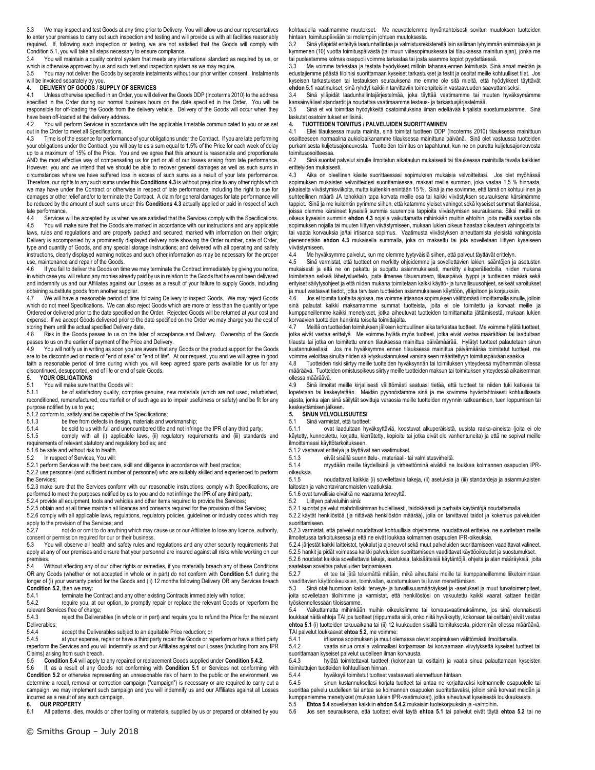3.3 We may inspect and test Goods at any time prior to Delivery. You will allow us and our representatives to enter your premises to carry out such inspection and testing and will provide us with all facilities reasonably required. If, following such inspection or testing, we are not satisfied that the Goods will comply with Condition [5.1,](#page-1-1) you will take all steps necessary to ensure compliance.

You will maintain a quality control system that meets any international standard as required by us, or which is otherwise approved by us and such test and inspection system as we may require.

3.5 You may not deliver the Goods by separate instalments without our prior written consent. Instalments

### will be invoiced separately by you. **4. DELIVERY OF GOODS / SUPPLY OF SERVICES**

Unless otherwise specified in an Order, you will deliver the Goods DDP (Incoterms 2010) to the address specified in the Order during our normal business hours on the date specified in the Order. You will be responsible for off-loading the Goods from the delivery vehicle. Delivery of the Goods will occur when they have been off-loaded at the delivery address.

4.2 You will perform Services in accordance with the applicable timetable communicated to you or as set out in the Order to meet all Specifications.<br>4.3 Time is of the essence for performa

Time is of the essence for performance of your obligations under the Contract. If you are late performing your obligations under the Contract, you will pay to us a sum equal to 1.5% of the Price for each week of delay up to a maximum of 15% of the Price. You and we agree that this amount is reasonable and proportionate AND the most effective way of compensating us for part or all of our losses arising from late performance. However, you and we intend that we should be able to recover general damages as well as such sums in circumstances where we have suffered loss in excess of such sums as a result of your late performance. Therefore, our rights to any such sums under this **Condition[s 4.3](#page-1-2)** is without prejudice to any other rights which we may have under the Contract or otherwise in respect of late performance, including the right to sue for damages or other relief and/or to terminate the Contract. A claim for general damages for late performance will be reduced by the amount of such sums under this **Condition[s 4.3](#page-1-2)** actually applied or paid in respect of such late performance.<br>4.4 Services v

4.4 Services will be accepted by us when we are satisfied that the Services comply with the Specifications.<br>4.5 You will make sure that the Goods are marked in accordance with our instructions and any applicable You will make sure that the Goods are marked in accordance with our instructions and any applicable laws, rules and regulations and are properly packed and secured; marked with information on their origin; Delivery is accompanied by a prominently displayed delivery note showing the Order number, date of Order, type and quantity of Goods, and any special storage instructions; and delivered with all operating and safety instructions, clearly displayed warning notices and such other information as may be necessary for the proper use, maintenance and repair of the Goods.

4.6 If you fail to deliver the Goods on time we may terminate the Contract immediately by giving you notice, in which case you will refund any monies already paid by us in relation to the Goods that have not been delivered and indemnify us and our Affiliates against our Losses as a result of your failure to supply Goods, including obtaining substitute goods from another supplier.<br>4.7 We will have a reasonable period of time

We will have a reasonable period of time following Delivery to inspect Goods. We may reject Goods which do not meet Specifications. We can also reject Goods which are more or less than the quantity or type Ordered or delivered prior to the date specified on the Order. Rejected Goods will be returned at your cost and expense. If we accept Goods delivered prior to the date specified on the Order we may charge you the cost of storing them until the actual specified Delivery date.

4.8 Risk in the Goods passes to us on the later of acceptance and Delivery. Ownership of the Goods passes to us on the earlier of payment of the Price and Delivery.<br>4.9 You will notify us in writing as soon you are aware that an

You will notify us in writing as soon you are aware that any Goods or the product support for the Goods are to be discontinued or made of "end of sale" or "end of life". At our request, you and we will agree in good faith a reasonable period of time during which you will keep agreed spare parts available for us for any discontinued, desupported, end of life or end of sale Goods.

### **5. YOUR OBLIGATIONS**<br>5.1 You will make sure the

### 5.1 You will make sure that the Goods will:<br>5.1.1 be of satisfactory quality, comp

be of satisfactory quality, comprise genuine, new materials (which are not used, refurbished, reconditioned, remanufactured, counterfeit or of such age as to impair usefulness or safety) and be fit for any purpose notified by us to you;

5.1.2 conform to, satisfy and be capable of the Specifications;<br>5.1.3 be free from defects in design materials and w

5.1.3 be free from defects in design, materials and workmanship;<br>5.1.4 be sold to us with full and unencumbered title and not infrinc-

be sold to us with full and unencumbered title and not infringe the IPR of any third party; 5.1.5 comply with all (i) applicable laws, (ii) regulatory requirements and (iii) standards and

requirements of relevant statutory and regulatory bodies; and 5.1.6 be safe and without risk to health.

5.2 In respect of Services, You will:

5.2.1 perform Services with the best care, skill and diligence in accordance with best practice;

5.2.2 use personnel (and sufficient number of personnel) who are suitably skilled and experienced to perform the Services;

5.2.3 make sure that the Services conform with our reasonable instructions, comply with Specifications, are

performed to meet the purposes notified by us to you and do not infringe the IPR of any third party; 5.2.4 provide all equipment, tools and vehicles and other items required to provide the Services;

5.2.5 obtain and at all times maintain all licences and consents required for the provision of the Services;

5.2.6 comply with all applicable laws, regulations, regulatory policies, guidelines or industry codes which may apply to the provision of the Services; and

5.2.7 not do or omit to do anything which may cause us or our Affiliates to lose any licence, authority,

consent or permission required for our or their business.<br>5.3. You will observe all health and safety rules and 5.3 You will observe all health and safety rules and regulations and any other security requirements that apply at any of our premises and ensure that your personnel are insured against all risks while working on our premises.

5.4 Without affecting any of our other rights or remedies, if you materially breach any of these Conditions OR any Goods (whether or not accepted in whole or in part) do not conform with **Conditio[n 5.1](#page-1-1)** during the longer of (i) your warranty period for the Goods and (ii) 12 months following Delivery OR any Services breach **Conditio[n 5.2](#page-1-3)**, then we may:<br>5.4.1 terminate the

5.4.1 terminate the Contract and any other existing Contracts immediately with notice;<br>5.4.2 require you, at our option, to promptly repair or replace the relevant Goods or

require you, at our option, to promptly repair or replace the relevant Goods or reperform the relevant Services free of charge;

5.4.3 reject the Deliverables (in whole or in part) and require you to refund the Price for the relevant Deliverables;

5.4.4 accept the Deliverables subject to an equitable Price reduction; or 5.4.5 at your expense, repair or have a third party repair the Goods or repair

at your expense, repair or have a third party repair the Goods or reperform or have a third party reperform the Services and you will indemnify us and our Affiliates against our Losses (including from any IPR Claims) arising from such breach.

5.5 **Conditio[n 5.4](#page-1-4)** will apply to any repaired or replacement Goods supplied under **Conditio[n 5.4.2.](#page-1-5)**

5.6 If, as a result of any Goods not conforming with **Condition [5.1](#page-1-1)** or Services not conforming with **Conditio[n 5.2](#page-1-3)** or otherwise representing an unreasonable risk of harm to the public or the environment, we determine a recall, removal or correction campaign ("campaign") is necessary or are required to carry out a campaign, we may implement such campaign and you will indemnify us and our Affiliates against all Losses incurred as a result of any such campaign.

**6. OUR PROPERTY**

All patterns, dies, moulds or other tooling or materials, supplied by us or prepared or obtained by you

kohtuudella vaatimamme muutokset. Me neuvottelemme hyväntahtoisesti sovitun muutoksen tuotteiden hintaan, toimituspäivään tai molempiin johtuen muutoksesta.

3.2 Sinä ylläpidät eriteltyä laadunhallintaa ja valmistusrekistereitä lain salliman lyhyimmän enimmäisajan ja kymmenen (10) vuotta toimituspäivästä (tai muun viitesopimuskessa tai tilauksessa mainitun ajan), jonka me tai puolestamme kolmas osapuoli voimme tarkastaa tai josta saamme kopiot pyydettäessä.

3.3 Me voimme tarkastaa ja testata hyödykkeet milloin tahansa ennen toimitusta. Sinä annat meidän ja edustajiemme päästä tiloihisi suorittamaan kyseiset tarkastukset ja testit ja osoitat meille kohtuulliset tilat. Jos kyseisen tarkastuksen tai testauksen seurauksena me emme ole sitä mieltä, että hyödykkeet täyttävät **ehdon [5.1](#page-1-1)** vaatimukset, sinä ryhdyt kaikkiin tarvittaviin toimenpiteisiin vastaavuuden saavuttamiseksi.<br>3.4 Sinä viläpidät laadunhallintajäriestelmää, joka täyttää vaatimamme tai muuten hyväksi 3.4 Sinä ylläpidät laadunhallintajärjestelmää, joka täyttää vaatimamme tai muuten hyväksymämme

kansainväliset standardit ja noudattaa vaatimaamme testaus- ja tarkastusjärjestelmää.<br>3.5. Sinä et voi toimittaa hyödykkeitä osatoimituksina ilman edeltävää kirialista su 3.5 Sinä et voi toimittaa hyödykkeitä osatoimituksina ilman edeltävää kirjalista suostumustamme. Sinä

laskutat osatoimitukset erillisinä.

# <span id="page-1-0"></span>**4. TUOTTEIDEN TOIMITUS / PALVELUIDEN SUORITTAMINEN**

4.1 Ellei tilauksessa muuta mainita, sinä toimitat tuotteen DDP (Incoterms 2010) tilauksessa mainittuun osoitteeseen normaalina aukioloaikanamme tilauksessa mainittuna päivänä. Sinä olet vastuussa tuotteiden purkamisesta kuljetusajoneuvosta. Tuotteiden toimitus on tapahtunut, kun ne on purettu kuljetusajoneuvosta toimitusosoitteessa.

4.2 Sinä suoritat palvelut sinulle ilmoitetun aikataulun mukaisesti tai tilauksessa mainitulla tavalla kaikkien erittelyiden mukaisesti.<br>4.3 Aika on oleelli

<span id="page-1-2"></span>4.3 Aika on oleellinen käsite suorittaessasi sopimuksen mukaisia velvoitteitasi. Jos olet myöhässä sopimuksen mukaisten velvoitteidesi suorittamisessa, maksat meille summan, joka vastaa 1,5 % hinnasta, jokaiselta viivästymisviikolta, mutta kuitenkin enintään 15 %. Sinä ja me sovimme, että tämä on kohtuullinen ja suhteellinen määrä JA tehokkain tapa korvata meille osa tai kaikki viivästyksen seurauksena kärsimämme tappiot. Sinä ja me kuitenkin pyrimme siihen, että katamme yleiset vahingot sekä kyseiset summat tilanteissa, joissa olemme kärsineet kyseisiä summia suurempia tappioita viivästymisen seurauksena. Siksi meillä on oikeus kyseisiin summiin **ehdo[n 4.3](#page-1-2)** nojalla vaikuttamatta mihinkään muihin ehtoihin, joita meillä saattaa olla sopimuksen nojalla tai muuten liittyen viivästymiseen, mukaan lukien oikeus haastaa oikeuteen vahingoista tai tai vaatia korvauksia ja/tai irtisanoa sopimus. Vaatimusta viivästyksen aiheuttamista yleisistä vahingoista pienennetään **ehdon [4.3](#page-1-2)** mukaisella summalla, joka on maksettu tai jota sovelletaan liittyen kyseiseen viivästymiseen.<br>4.4 Me hyv

4.4 <sup>kwik</sup> Me hyväksymme palvelut, kun me olemme tyytyväisiä siihen, että palveut täyttävät erittelyn.<br>4.5 kolla varmistat, että tuotteet on merkitty ohieidemme ja sovellettavien lakien, sääntöien ja

4.5 Sinä varmistat, että tuotteet on merkitty ohjeidemme ja sovellettavien lakien, sääntöjen ja asetusten mukaisesti ja että ne on pakattu ja suojattu asianmukaisesti, merkitty alkuperätiedoilla, niiden mukana toimitetaan selkeä lähetysluettelo, josta ilmenee tilausnumero, tilauspäivä, tyyppi ja tuotteiden määrä sekä erityiset säilytysohjeet ja että niiden mukana toimitetaan kaikki käyttö- ja turvallisuusohjeet, selkeät varoitukset ja muut vastaavat tiedot, jotka tarvitaan tuotteiden asianmukaiseen käyttöön, ylläpitoon ja korjauksiin.<br>46. korjauksit toimita tuotteita ajoissa, me voimme irtisanoa sooimuksen välittömästi ilmoittamalla sinu

4.6 Jos et toimita tuotteita ajoissa, me voimme irtisanoa sopimuksen välittömästi ilmoittamalla sinulle, jolloin sinä palautat kaikki maksamamme summat tuotteista, joita ei ole toimitettu ja korvaat meille ja kumppaneillemme kaikki menetykset, jotka aiheutuvat tuotteiden toimittamatta jättämisestä, mukaan lukien korvaavien tuotteiden hankinta toiselta toimittajalta.

4.7 Meillä on tuotteiden toimituksen jälkeen kohtuullinen aika tarkastaa tuotteet. Me voimme hylätä tuotteet, jotka eivät vastaa erittelyä. Me voimme hylätä myös tuotteet, jotka eivät vastaa määrältään tai laadultaan tilausta tai jotka on toimitettu ennen tilauksessa mainittua päivämäärää. Hylätyt tuotteet palautetaan sinun kustannuksellasi. Jos me hyväksymme ennen tilauksessa mainittua päivämäärää toimitetut tuotteet, me voimme veloittaa sinulta niiden säilytyskustannukset varsinaiseen määritettyyn toimituspäivään saakka.

4.8 Tuotteiden riski siirtyy meille tuotteiden hyväksynnän tai toimituksen yhteydessä myöhemmän ollessa määräävä. Tuotteiden omistusoikeus siirtyy meille tuotteiden maksun tai toimituksen yhteydessä aikaisemman ollessa määräävä.<br>4.9 Sinä ilmoit

4.9 Sinä ilmoitat meille kirjallisesti välittömästi saatuasi tietää, että tuotteet tai niiden tuki katkeaa tai lopetetaan tai keskeytetään. Meidän pyynnöstämme sinä ja me sovimme hyväntahtoisesti kohtuullisesta ajasta, jonka ajan sinä säilytät sovittuja varaosia meille tuotteiden myynnin katkeamisen, tuen loppumisen tai keskeyttämisen jälkeen.

### **5. SINUN VELVOLLISUUTESI**

<span id="page-1-1"></span>5.1 Sinä varmistat, että tuotteet:<br>5.1.1 ovat laadultaan hyv

5.1.1 ovat laadultaan hyväksyttäviä, koostuvat alkuperäisistä, uusista raaka-aineista (joita ei ole käytetty, kunnostettu, korjattu, kierrätetty, kopioitu tai jotka eivät ole vanhentuneita) ja että ne sopivat meille ilmoittamaasi käyttötarkoitukseen.

5.1.2 vastaavat erittelyä ja täyttävät sen vaatimukset.

5.1.3 eivät sisällä suunnittelu-, materiaali- tai valmistusvirheitä.

5.1.4 myydään meille täydellisinä ja virheettöminä eivätkä ne loukkaa kolmannen osapuolen IPR-

noudattavat kaikkia (i) sovellettavia lakeja, (ii) asetuksia ja (iii) standardeja ja asianmukaisten laitosten ja valvontaviranomaisten vaatiuksia.

5.1.6 ovat turvallisia eivätkä ne vaaranna terveyttä.

<span id="page-1-3"></span>Liittyen palveluihin sinä:

5.2.1 suoritat palvelut mahdollisimman huolellisesti, taidokkaasti ja parhaita käytäntöjä noudattamalla.

5.2.2 käytät henkilöstöä (ja riittävää henkilöstön määrää), jolla on tarvittavat taidot ja kokemus palveluiden suorittamiseen.

5.2.3 varmistat, että palvelut noudattavat kohtuullisia ohjeitamme, noudattavat erittelyä, ne suoritetaan meille ilmoitetussa tarkoituksessa ja että ne eivät loukkaa kolmannen osapuolen IPR-oikeuksia.

5.2.4 järjestät kaikki laitteistot, työkalut ja ajoneuvot sekä muut palveluiden suorittamiseen vaadittavat välineet.

5.2.5 hankit ja pidät voimassa kaikki palveluiden suorittamiseen vaadittavat käyttöoikeudet ja suostumukset. 5.2.6 noudatat kaikkia sovellettavia lakeja, asetuksia, lakisääteisiä käytäntöjä, ohjeita ja alan määräyksiä, joita

saatetaan soveltaa palveluiden tarjoamiseen.

5.2.7 et tee tai jätä tekemättä mitään, mikä aiheuttaisi meille tai kumppaneillemme liiketoimintaan vaadittavien käyttöoikeuksien, toimivallan, suostumuksen tai luvan menettämisen.

5.3 Sinä otat huomioon kaikki terveys- ja turvallisuusmääräykset ja -asetukset ja muut turvatoimenpiteet, joita sovelletaan tiloihimme ja varmistat, että henkilöstösi on vakuutettu kaikki vaarat kattaen heidän työskennellessään tiloissamme.

<span id="page-1-4"></span>5.4 Vaikuttamatta mihinkään muihin oikeuksiimme tai korvausvaatimuksiimme, jos sinä olennaisesti loukkaat näitä ehtoja TAI jos tuotteet (riippumatta siitä, onko niitä hyväksytty, kokonaan tai osittain) eivät vastaa **ehto[a 5.1](#page-1-1)** (i) tuotteiden takuuaikana tai (ii) 12 kuukauden sisällä toimituksesta, pidemmän ollessa määräävä, TAI palvelut loukkaavat **ehto[a 5.2](#page-1-3)**, me voimme:

5.4.1 irtisanoa sopimuksen ja muut olemassa olevat sopimuksen välittömästi ilmoittamalla<br>5.4.2 vaatia sinua omalla valinnallasi koriaamaan tai korvaamaan viivytyksettä kyseiset t

<span id="page-1-5"></span>vaatia sinua omalla valinnallasi korjaamaan tai korvaamaan viivytyksettä kyseiset tuotteet tai suorittamaan kyseiset palvelut uudelleen ilman korvausta.

5.4.3 hylätä toimitettavat tuotteet (kokonaan tai osittain) ja vaatia sinua palauttamaan kyseisten toimitettujen tuotteiden kohtuullisen hinnan 5.4.4 hyväksvä toimitetut tuotteet

5.4.4 hyväksyä toimitetut tuotteet vastaavasti alennettuun hintaan.

sinun kustannuksellasi korjata tuotteet tai antaa ne korjattavaksi kolmannelle osapuolelle tai suorittaa palvelu uudelleen tai antaa se kolmannen osapuolen suoritettavaksi, jolloin sinä korvaat meidän ja kumppaniemme menetykset (mukaan lukien IPR-vaatimukset), jotka aiheutuvat kyseisestä loukkauksesta. 5.5 **Ehto[a 5.4](#page-1-4)** sovelletaan kaikkiin **ehdo[n 5.4.2](#page-1-5)** mukaisiin tuotekorjauksiin ja -vaihtoihin**.**

5.6 Jos sen seurauksena, että tuotteet eivät täytä **ehtoa [5.1](#page-1-1)** tai palvelut eivät täytä **ehto[a 5.2](#page-1-3)** tai ne

oikeuksia.<br>5.1.5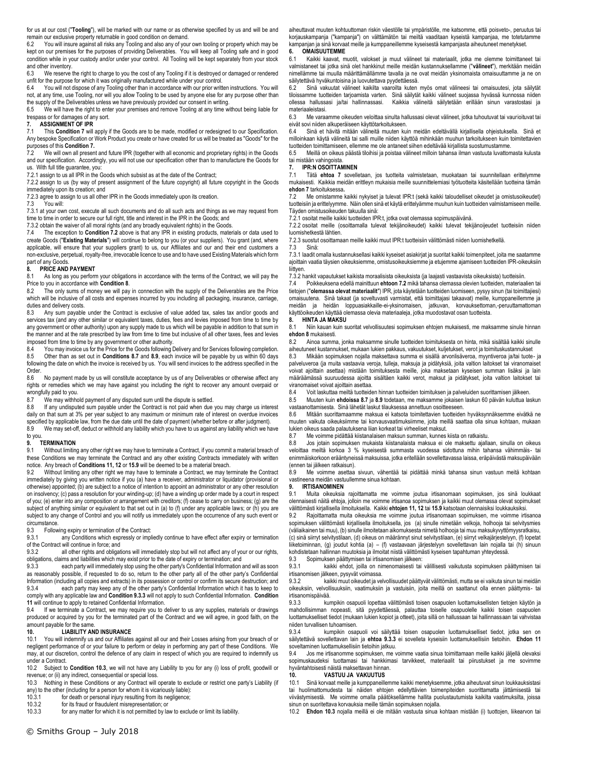for us at our cost ("**Tooling**"), will be marked with our name or as otherwise specified by us and will be and remain our exclusive property returnable in good condition on demand.

6.2 You will insure against all risks any Tooling and also any of your own tooling or property which may be kept on our premises for the purposes of providing Deliverables. You will keep all Tooling safe and in good condition while in your custody and/or under your control. All Tooling will be kept separately from your stock and other inventory.

6.3 We reserve the right to charge to you the cost of any Tooling if it is destroyed or damaged or rendered unfit for the purpose for which it was originally manufactured while under your control.

6.4 You will not dispose of any Tooling other than in accordance with our prior written instructions. You will not, at any time, use Tooling, nor will you allow Tooling to be used by anyone else for any purpose other than

the supply of the Deliverables unless we have previously provided our consent in writing.<br>6.5 We will have the right to enter your premises and remove Tooling at any time will We will have the right to enter your premises and remove Tooling at any time without being liable for trespass or for damages of any sort.

# **7. ASSIGNMENT OF IPR**<br>**7.1** This Condition 7 will

This **Conditio[n 7](#page-2-0)** will apply if the Goods are to be made, modified or redesigned to our Specification. Any bespoke Specification or Work Product you create or have created for us will be treated as "Goods" for the purposes of this **Conditio[n 7.](#page-2-0)**

We will own all present and future IPR (together with all economic and proprietary rights) in the Goods and our specification. Accordingly, you will not use our specification other than to manufacture the Goods for us. With full title guarantee, you:

7.2.1 assign to us all IPR in the Goods which subsist as at the date of the Contract;

7.2.2 assign to us (by way of present assignment of the future copyright) all future copyright in the Goods immediately upon its creation; and

7.2.3 agree to assign to us all other IPR in the Goods immediately upon its creation.

7.3 You will:

7.3.1 at your own cost, execute all such documents and do all such acts and things as we may request from time to time in order to secure our full right, title and interest in the IPR in the Goods; and

7.3.2 obtain the waiver of all moral rights (and any broadly equivalent rights) in the Goods.<br>7.4 The exception to **Condition 7.2** above is that any IPR in existing products mater

7.4 The exception to **Condition [7.2](#page-2-1)** above is that any IPR in existing products, materials or data used to create Goods ("**Existing Materials**") will continue to belong to you (or your suppliers). You grant (and, where applicable, will ensure that your suppliers grant) to us, our Affiliates and our and their end customers a non-exclusive, perpetual, royalty-free, irrevocable licence to use and to have used Existing Materials which form part of any Goods.

### **8. PRICE AND PAYMENT**<br>8.1 As long as you perform

As long as you perform your obligations in accordance with the terms of the Contract, we will pay the Price to you in accordance with **Conditio[n 8](#page-2-2)**.

8.2 The only sums of money we will pay in connection with the supply of the Deliverables are the Price which will be inclusive of all costs and expenses incurred by you including all packaging, insurance, carriage, duties and delivery costs.

8.3 Any sum payable under the Contract is exclusive of value added tax, sales tax and/or goods and services tax (and any other similar or equivalent taxes, duties, fees and levies imposed from time to time by any government or other authority) upon any supply made to us which will be payable in addition to that sum in the manner and at the rate prescribed by law from time to time but inclusive of all other taxes, fees and levies imposed from time to time by any government or other authority.<br>8.4 You may invoice us for the Price for the Goods following

8.4 You may invoice us for the Price for the Goods following Delivery and for Services following completion.<br>8.5 Other than as set out in Conditions 8.7 and 8.9, each invoice will be payable by us within 60 days 8.5 Other than as set out in **Condition[s 8.7](#page-2-3)** and **[8.9](#page-2-4)**, each invoice will be payable by us within 60 days following the date on which the invoice is received by us. You will send invoices to the address specified in the Order.<br>86

No payment made by us will constitute acceptance by us of any Deliverables or otherwise affect any rights or remedies which we may have against you including the right to recover any amount overpaid or wrongfully paid to you.<br>8.7 We may withher

We may withhold payment of any disputed sum until the dispute is settled.

8.8 If any undisputed sum payable under the Contract is not paid when due you may charge us interest daily on that sum at 3% per year subject to any maximum or minimum rate of interest on overdue invoices

specified by applicable law, from the due date until the date of payment (whether before or after judgment).<br>8.9 We may set-off, deduct or withhold any liability which you have to us against any liability which we h We may set-off, deduct or withhold any liability which you have to us against any liability which we have to you.

#### **9. TERMINATION**

9.1 Without limiting any other right we may have to terminate a Contract, if you commit a material breach of these Conditions we may terminate the Contract and any other existing Contracts immediately with written notice. Any breach of **Conditions 11, 12** or **[15.9](#page-3-1)** will be deemed to be a material breach.

9.2 Without limiting any other right we may have to terminate a Contract, we may terminate the Contract immediately by giving you written notice if you (a) have a receiver, administrator or liquidator (provisional or otherwise) appointed; (b) are subject to a notice of intention to appoint an administrator or any other resolution on insolvency; (c) pass a resolution for your winding-up; (d) have a winding up order made by a court in respect<br>of you; (e) enter into any composition or arrangement with creditors; (f) cease to carry on business; (g) are subject of anything similar or equivalent to that set out in (a) to (f) under any applicable laws; or (h) you are subject to any change of Control and you will notify us immediately upon the occurrence of any such event or circumstance.

9.3 Following expiry or termination of the Contract:

9.3.1 any Conditions which expressly or impliedly continue to have effect after expiry or termination of the Contract will continue in force; and<br>9.3.2 all other rights and obligat

all other rights and obligations will immediately stop but will not affect any of your or our rights, obligations, claims and liabilities which may exist prior to the date of expiry or termination; and

9.3.3 each party will immediately stop using the other party's Confidential Information and will as soon as reasonably possible, if requested to do so, return to the other party all of the other party's Confidential

Information (including all copies and extracts) in its possession or control or confirm its secure destruction; and<br>9.3.4 each party may keep any of the other party's Confidential Information which it has to keep to each party may keep any of the other party's Confidential Information which it has to keep to comply with any applicable law and **Condition [9.3.3](#page-2-5)** will not apply to such Confidential Information. **Condition [11](#page-3-0)** will continue to apply to retained Confidential Information.

9.4 If we terminate a Contract, we may require you to deliver to us any supplies, materials or drawings produced or acquired by you for the terminated part of the Contract and we will agree, in good faith, on the amount payable for the same.

### **10. LIABILITY AND INSURANCE**<br>10.1 You will indemnify us and our Affiliates

You will indemnify us and our Affiliates against all our and their Losses arising from your breach of or negligent performance of or your failure to perform or delay in performing any part of these Conditions. We may, at our discretion, control the defence of any claim in respect of which you are required to indemnify us under a Contract.

10.2 Subject to **Condition [10.3](#page-3-2)**, we will not have any Liability to you for any (i) loss of profit, goodwill or revenue; or (ii) any indirect, consequential or special loss.

10.3 Nothing in these Conditions or any Contract will operate to exclude or restrict one party's Liability (if any) to the other (including for a person for whom it is vicariously liable):

10.3.1 for death or personal injury resulting from its negligence;

10.3.2 for its fraud or fraudulent misrepresentation; or 10.3.3 for any matter for which it is not permitted by la

for any matter for which it is not permitted by law to exclude or limit its liability.

aiheuttavat muuten kohtuuttoman riskin väestölle tai ympäristölle, me katsomme, että poisveto-, peruutus tai korjauskampanja ("kampanja") on välttämätön tai meiltä vaaditaan kyseistä kampanjaa, me totetutamme kampanjan ja sinä korvaat meille ja kumppaneillemme kyseisestä kampanjasta aiheutuneet menetykset.<br>6. COMAISUUTEMME

### **6. OMAISUUTEMME**

Kaikki kaavat, muotit, valokset ja muut välineet tai materiaalit, jotka me olemme toimittaneet tai valmistaneet tai jotka sinä olet hankkinut meille meidän kustannuksellamme ("**välineet**"), merkitään meidän nimellämme tai muulla määrittämällämme tavalla ja ne ovat meidän yksinomaista omaisuuttamme ja ne on säilytettävä hyväkuntoisina ja luovutettava pyydettäessä.

6.2 Sinä vakuutat välineet kaikilta vaaroilta kuten myös omat välineesi tai omaisuutesi, jota säilytät tiloissamme tuotteiden tarjoamista varten. Sinä säilytät kaikki välineet suojassa hyvässä kunnossa niiden ollessa hallussasi ja/tai hallinnassasi. Kaikkia välineitä säilytetään erillään sinun varastostasi ja materiaaleistasi.<br>6.3 Me varaa

6.3 Me varaamme oikeuden veloittaa sinulta hallussasi olevat välineet, jotka tuhoutuvat tai vaurioituvat tai eivät sovi niiden alkuperäiseen käyttötarkoitukseen.

6.4 Sinä et hävitä mitään välineitä muuten kuin meidän edeltävällä kirjallisella ohjeistuksella. Sinä et milloinkaan käytä välineitä tai salli muille niiden käyttöä mihinkään muuhun tarkoitukseen kuin toimitettavien tuotteiden toimittamiseen, ellemme me ole antaneet siihen edeltävää kirjallista suostumustamme.

6.5 Meillä on oikeus päästä tiloihisi ja poistaa välineet milloin tahansa ilman vastuuta luvattomasta kulusta tai mistään vahingoista.

### <span id="page-2-0"></span>**7. IPR:N OSOITTAMINEN**

7.1 Tätä **ehtoa [7](#page-2-0)** sovelletaan, jos tuotteita valmistetaan, muokataan tai suunnitellaan erittelymme mukaisesti. Kaikkia meidän erittleyn mukaisia meille suunnittelemiasi työtuotteita käsitellään tuotteina tämän **ehdo[n 7](#page-2-0)** tarkoituksessa**.**

<span id="page-2-1"></span>7.2 Me omistamme kaikki nykyiset ja tulevat IPR:t (sekä kaikki taloudelliset oikeudet ja omistusoikeudet) tuotteisiin ja erittelyymme. Näin ollen sinä et käytä erittelyämme muuhun kuin tuotteiden valmistamiseen meille. Täyden omistusoikeuden takuulla sinä:

7.2.1 osoitat meille kaikki tuotteiden IPR:t, jotka ovat olemassa sopimuspäivänä.

7.2.2 osoitat meille (osoittamalla tulevat tekijänoikeudet) kaikki tulevat tekijänoijeudet tuotteisiin niiden luomishetkestä lähtien.

7.2.3 suostut osoittamaan meille kaikki muut IPR:t tuotteisiin välittömästi niiden luomishetkellä.

7.3 Sinä:

7.3.1 laadit omalla kustannuksellasi kaikki kyseiset asiakirjat ja suoritat kaikki toimenpiteet, joita me saatamme ajoittain vaatia täysien oikeuksiemme, omistusoikeuksiemme ja etujemme ajamiseen tuotteiden IPR-oikeuksiin liittyen.

7.3.2 hankit vapautukset kaikista moraalisista oikeuksista (ja laajasti vastaavista oikeuksista) tuotteisiin.

7.4 Poikkeuksena edellä mainittuun **ehtoon [7.2](#page-2-1)** mikä tahansa olemassa olevien tuotteiden, materiaalien tai tietojen ("**olemassa olevat materiaalit**") IPR, jota käytetään tuotteiden luomiseen, pysyy sinun (tai toimittajiesi) omaisuutena. Sinä takaat (ja soveltuvasti varmistat, että toimittajasi takaavat) meille, kumppaneillemme ja meidän ja heidän loppuasiakkaille-ei-yksinomaisen, jatkuvan, korvauksettoman,-peruuttamattoman käyttöoikeuden käyttää olemassa olevia materiaaleja, jotka muodostavat osan tuotteista.

#### <span id="page-2-2"></span>**8. HINTA JA MAKSU**

8.1 Niin kauan kuin suoritat velvollisuutesi sopimuksen ehtojen mukaisesti, me maksamme sinule hinnan **ehdo[n 8](#page-2-2)** mukaisesti.

8.2 Ainoa summa, jonka maksamme sinulle tuotteiden toimituksesta on hinta, mikä sisältää kaikki sinulle aiheutuneet kustannukset, mukaan lukien pakkaus, vakuutukset, kuljetukset, verot ja toimituskustannukset<br>8.3 Mikään sopimuksen nojalla maksettava summa ei sisällä arvonlisäveroa, myyntiveroa ja/tai tuote-

8.3 Mikään sopimuksen nojalla maksettava summa ei sisällä arvonlisäveroa, myyntiveroa ja/tai tuote- ja palveluveroa (ja muita vastaavia veroja, tulleja, maksuja ja pidätyksiä, joita valtion laitokset tai viranomaiset<br>voivat ajoittain asettaa) mistään toimituksesta meille, joka maksetaan kyseisen summan lisäksi ja lain määräämässä suuruudessa ajoitta sisältäen kaikki verot, maksut ja pidätykset, joita valtion laitokset tai viranomaiset voivat ajoittain asettaa.<br>8.4 Voit laskuttaa meiltä tuotteide

8.4 Voit laskuttaa meiltä tuotteiden hinnan tuotteiden toimituksen ja palveluiden suorittamisen jälkeen.<br>8.5 Muuten kuin ehdoissa 8.7 ja 8.9 todetaan, me maksamme jokaisen laskun 60 näivän kuluttua la

8.5 Muuten kuin **ehdoiss[a 8.7](#page-2-3)** ja **[8.9](#page-2-4)** todetaan, me maksamme jokaisen laskun 60 päivän kuluttua laskun vastaanottamisesta. Sinä lähetät laskut tilauksessa annettuun osoitteeseen.

8.6 Mitään suorittamaamme maksua ei katsota toimitettavien tuotteiden hyväksynnäksemme eivätkä ne muuten vaikuta oikeuksiimme tai korvausvaatimuksiimme, joita meillä saattaa olla sinua kohtaan, mukaan lukien oikeus saada palautuksena liian korkeat tai virheeliset maksut.

<span id="page-2-3"></span>8.7 Me voimme pidättää kiistanalaisen maksun summan, kunnes kiista on ratkaistu.

8.8 Jos jotain sopimuksen mukaista kiistanalaista maksua ei ole maksettu ajallaan, sinulla on oikeus veloittaa meiltä korkoa 3 % kyseisestä summasta vuodessa sidottuna mihin tahansa vähimmäis- tai enimmäiskorkoon erääntyneissä maksuissa, jotka eritellään sovellettavassa laissa, eräpäivästä maksupäivään (ennen tai jälkeen ratkaisun).

<span id="page-2-4"></span>8.9 Me voimme asettaa sivuun, vähentää tai pidättää minkä tahansa sinun vastuun meitä kohtaan vastineena meidän vastuullemme sinua kohtaan.

#### **9. IRTISANOMINEN**

9.1 Muita oikeuksia rajoittamatta me voimme joutua irtisanomaan sopimuksen, jos sinä loukkaat olennaisesti näitä ehtoja, jolloin me voimme irtisanoa sopimuksen ja kaikki muut olemassa olevat sopimukset välittömästi kirjallisella ilmoituksella. Kaikki **ehtojen 11, 12** tai **[15.9](#page-3-1)** katsotaan olennaisiksi loukkauksiksi.

9.2 Rajoittamatta muita oikeuksia me voimme joutua irtisanomaan sopimuksen, me voimme irtisanoa sopimuksen välittömästi kirjallisella ilmoituksella, jos (a) sinulle nimetään velkoja, holhooja tai selvitysmies (väliaikainen tai muu), (b) sinulle ilmoitetaan aikomuksesta nimetä holhooja tai muu maksukyvyttömyysratkaisu, (c) sinä siirryt selvitystilaan, (d) oikeus on määrännyt sinut selvitystilaan, (e) siirryt velkajärjestelyyn, (f) lopetat liiketoiminnan, (g) joudut kohtia (a) – (f) vastaavaan järjestelyyn sovellettavan lain nojalla tai (h) sinuun kohdistetaan hallinnan muutoksia ja ilmoitat niistä välittömästi kyseisen tapahtuman yhteydessä.<br>9.3 Sopimuksen päättymisen tai irtisanomisen jälkeen:

### 9.3 Sopimuksen päättymisen tai irtisanomisen jälkeen:

9.3.1 kaikki ehdot, joilla on nimenomaisesti tai välillisesti vaikutusta sopimuksen päättymisen tai irtisanomisen jälkeen, pysyvät voimassa.

9.3.2 kaikki muut oikeudet ja velvollisuudet päättyvät välittömästi, mutta se ei vaikuta sinun tai meidän oikeuksiin, velvollisuuksiin, vaatimuksiin ja vastuisiin, joita meillä on saattanut olla ennen päättymis- tai irtisanomispäivää.

<span id="page-2-5"></span>9.3.3 kumpikin osapuoli lopettaa välittömästi toisen osapuolen luottamuksellisten tietojen käytön ja mahdollisimman nopeasti, sitä pyydettäessä, palauttaa toiselle osapuolelle kaikki toisen osapuolen luottamukselliset tiedot (mukaan lukien kopiot ja otteet), joita sillä on hallussaan tai hallinnassaan tai vahvistaa niiden turvallisen tuhoamisen.

9.3.4 kumpikin osapuoli voi säilyttää toisen osapuolen luottamukselliset tiedot, jotka sen on<br>säilytettävä sovellettavan lain ja **ehtoa [9.3.3](#page-2-5)** ei sovelleta kyseisiin luottamuksellisiin tietoihin. E**hdon [11](#page-3-0)** soveltaminen luottamuksellisiin tietoihin jatkuu.

9.4 Jos me irtisanomme sopimuksen, me voimme vaatia sinua toimittamaan meille kaikki jäljellä olevaksi sopimuskaudeksi tuottamasi tai hankkimasi tarvikkeet, materiaalit tai piirustukset ja me sovimme hyväntahtoisesti näistä maksettavan hinnan.

#### <span id="page-2-6"></span>**10. VASTUU JA VAKUUTUS**

10.1 Sinä korvaat meille ja kumppaneillemme kaikki menetyksemme, jotka aiheutuvat sinun loukkauksistasi tai huolimattomudesta tai näiden ehtojen edellyttävien toimenpiteiden suorittamatta jättämisestä tai viivästymisestä. Me voimme omalla päätöksellämme hallita puolustautumista kaikilta vaatimuksilta, joissa sinun on suoritettava korvauksia meille tämän sopimuksen nojalla.

10.2 **Ehdo[n 10.3](#page-3-2)** nojalla meillä ei ole mitään vastuuta sinua kohtaan mistään (i) tuottojen, liikearvon tai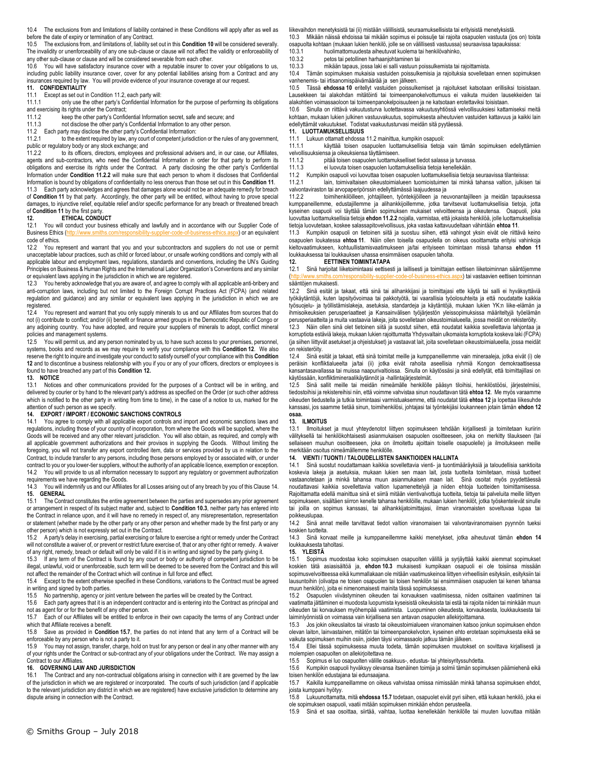10.4 The exclusions from and limitations of liability contained in these Conditions will apply after as well as before the date of expiry or termination of any Contract.

10.5 The exclusions from, and limitations of, liability set out in this **Condition [10](#page-2-6)** will be considered severally. The invalidity or unenforceability of any one sub-clause or clause will not affect the validity or enforceability of any other sub-clause or clause and will be considered severable from each other.

10.6 You will have satisfactory insurance cover with a reputable insurer to cover your obligations to us, including public liability insurance cover, cover for any potential liabilities arising from a Contract and any insurances required by law. You will provide evidence of your insurance coverage at our request.

#### **11. CONFIDENTIALITY**

11.1 Except as set out in Conditio[n 11.2,](#page-3-3) each party will:<br>11.1.1 only use the other party's Confidential Inform

only use the other party's Confidential Information for the purpose of performing its obligations and exercising its rights under the Contract;<br>11.1.2 keep the other party's Config

keep the other party's Confidential Information secret, safe and secure; and 11.1.3 not disclose the other party's Confidential Information to any other person.

11.2 Each party may disclose the other party's Confidential Information:<br>11.2.1 to the extent required by law, any court of competent jurisdig to the extent required by law, any court of competent jurisdiction or the rules of any government, public or regulatory body or any stock exchange; and<br>11.2.2 to its officers directors employees and

to its officers, directors, employees and professional advisers and, in our case, our Affiliates, agents and sub-contractors, who need the Confidential Information in order for that party to perform its obligations and exercise its rights under the Contract. A party disclosing the other party's Confidential Information under **Condition [11.2.2](#page-3-4)** will make sure that each person to whom it discloses that Confidential Information is bound by obligations of confidentiality no less onerous than those set out in this **Conditio[n 11](#page-3-0)**.

11.3 Each party acknowledges and agrees that damages alone would not be an adequate remedy for breach of **Condition [11](#page-3-0)** by that party. Accordingly, the other party will be entitled, without having to prove special damages, to injunctive relief, equitable relief and/or specific performance for any breach or threatened breach of **Conditio[n 11](#page-3-0)** by the first party.

# **12. ETHICAL CONDUCT**<br>**12.1** You will conduct your busine

You will conduct your business ethically and lawfully and in accordance with our Supplier Code of<br>ss Ethics (http://www.smiths.com/responsibility-supplier-code-of-business-ethics.aspx) or an equivalent Business Ethics (http://www.smiths.com/responsibilitycode of ethics.

12.2 You represent and warrant that you and your subcontractors and suppliers do not use or permit unacceptable labour practices, such as child or forced labour, or unsafe working conditions and comply with all applicable labour and employment laws, regulations, standards and conventions, including the UN's Guiding Principles on Business & Human Rights and the International Labor Organization's Conventions and any similar or equivalent laws applying in the jurisdiction in which we are registered.

12.3 You hereby acknowledge that you are aware of, and agree to comply with all applicable anti-bribery and anti-corruption laws, including but not limited to the Foreign Corrupt Practices Act (FCPA) (and related regulation and guidance) and any similar or equivalent laws applying in the jurisdiction in which we are registered.

12.4 You represent and warrant that you only supply minerals to us and our Affiliates from sources that do not (i) contribute to conflict; and/or (ii) benefit or finance armed groups in the Democratic Republic of Congo or any adjoining country. You have adopted, and require your suppliers of minerals to adopt, conflict mineral policies and management systems.

12.5 You will permit us, and any person nominated by us, to have such access to your premises, personnel, systems, books and records as we may require to verify your compliance with this **Condition [12](#page-3-5)**. We also reserve the right to inquire and investigate your conduct to satisfy ourself of your compliance with this **Condition [12](#page-3-5)** and to discontinue a business relationship with you if you or any of your officers, directors or employees is found to have breached any part of this **Conditio[n 12.](#page-3-5)** 

# **13. NOTICE**

Notices and other communications provided for the purposes of a Contract will be in writing, and delivered by courier or by hand to the relevant party's address as specified on the Order (or such other address which is notified to the other party in writing from time to time), in the case of a notice to us, marked for the attention of such person as we specify.

#### **14. EXPORT / IMPORT / ECONOMIC SANCTIONS CONTROLS**

14.1 You agree to comply with all applicable export controls and import and economic sanctions laws and regulations, including those of your country of incorporation, from where the Goods will be supplied, where the Goods will be received and any other relevant jurisdiction. You will also obtain, as required, and comply with all applicable government authorizations and their provisos in supplying the Goods. Without limiting the foregoing, you will not transfer any export controlled item, data or services provided by us in relation to the Contract, to include transfer to any persons, including those persons employed by or associated with, or under contract to you or you lower-tier suppliers, without the authority of an applicable licence, exemption or exception. 14.2 You will provide to us all information necessary to support any regulatory or government authorization requirements we have regarding the Goods.

14.3 You will indemnify us and our Affiliates for all Losses arising out of any breach by you of this Claus[e 14.](#page-3-6) 

**15. GENERAL** 15.1 The Contract constitutes the entire agreement between the parties and supersedes any prior agreement or arrangement in respect of its subject matter and, subject to **Condition [10.3](#page-3-2)**, neither party has entered into the Contract in reliance upon, and it will have no remedy in respect of, any misrepresentation, representation or statement (whether made by the other party or any other person and whether made by the first party or any other person) which is not expressly set out in the Contract.

15.2 A party's delay in exercising, partial exercising or failure to exercise a right or remedy under the Contract will not constitute a waiver of, or prevent or restrict future exercise of, that or any other right or remedy. A waiver

of any right, remedy, breach or default will only be valid if it is in writing and signed by the party giving it.<br>15.3 If any term of the Contract is found by any court or body or authority of competent iurisdiction If any term of the Contract is found by any court or body or authority of competent jurisdiction to be illegal, unlawful, void or unenforceable, such term will be deemed to be severed from the Contract and this will not affect the remainder of the Contract which will continue in full force and effect.

15.4 Except to the extent otherwise specified in these Conditions, variations to the Contract must be agreed in writing and signed by both parties.

15.5 No partnership, agency or joint venture between the parties will be created by the Contract.

15.6 Each party agrees that it is an independent contractor and is entering into the Contract as principal and not as agent for or for the benefit of any other person.

15.7 Each of our Affiliates will be entitled to enforce in their own capacity the terms of any Contract under which that Affiliate receives a benefit.

15.8 Save as provided in **Condition [15.7](#page-3-7)**, the parties do not intend that any term of a Contract will be enforceable by any person who is not a party to it.

15.9 You may not assign, transfer, charge, hold on trust for any person or deal in any other manner with any of your rights under the Contract or sub-contract any of your obligations under the Contract. We may assign a Contract to our Affiliates.

# **16. GOVERNING LAW AND JURISDICTION**

The Contract and any non-contractual obligations arising in connection with it are governed by the law of the jurisdiction in which we are registered or incorporated. The courts of such jurisdiction (and if applicable to the relevant jurisdiction any district in which we are registered) have exclusive jurisdiction to determine any dispute arising in connection with the Contract.

liikevaihdon menetyksistä tai (ii) mistään välillisistä, seuraamuksellisista tai erityisistä menetyksistä.

<span id="page-3-2"></span>10.3 Mikään näissä ehdoissa tai mikään sopimus ei poissulje tai rajoita osapuolen vastuuta (jos on) toista osapuolta kohtaan (mukaan lukien henkilö, jolle se on välillisesti vastuussa) seuraavissa tapauksissa:

10.3.1 huolimattomuudesta aiheutuvat kuolema tai henkilövahinko,<br>10.3.2 betos tai petollinen harhaaniohtaminen tai petos tai petollinen harhaanjohtaminen tai

10.3.3 mikään tapaus, jossa laki ei salli vastuun poissulkemista tai rajoittamista.

10.4 Tämän sopimuksen mukaisia vastuiden poissulkemisia ja rajoituksia sovelletaan ennen sopimuksen vanhenemis- tai irtisanomispäivämäärää ja sen jälkeen.

10.5 Tässä **ehdossa [10](#page-2-6)** eritellyt vastuiden poissulkemiset ja rajoitukset katsotaan erillisiksi toisistaan. Lausekkeen tai alakohdan mitätöinti tai toimeenpanokelvottumuus ei vaikuta muiden lausekkeiden tai alakohtien voimassaoloon tai toimeenpanokelpoisuuteen ja ne katsotaan erotettaviksi toisistaan.

10.6 Sinulla on riittävä vakuutusturva luotettavassa vakuutusyhtiössä velvollisuuksiesi kattamiseksi meitä kohtaan, mukaan lukien julkinen vastuuvakuutus, sopimuksesta aiheutuvien vastuiden kattavuus ja kaikki lain edellyttämät vakuutukset. Todistat vaakuutusturvasi meidän sitä pyytäessä.

### <span id="page-3-0"></span>**11. LUOTTAMUKSELLISUUS**

Lukuun ottamatt ehdoss[a 11.2](#page-3-3) mainittua, kumpikin osapuoli:

11.1.1 käyttää toisen osapuolen luottamuksellisia tietoja vain tämän sopimuksen edellyttämien velvollisuuksiensa ja oikeuksiensa täyttämiseen.

11.1.2 pitää toisen osapuolen luottamukselliset tiedot salassa ja turvassa.

11.1.3 ei luovuta toisen osapuolen luottamuksellisia tietoja kenellekään.

<span id="page-3-3"></span>11.2 Kumpikin osapuoli voi luovuttaa toisen osapuolen luottamuksellisia tietoja seuraavissa tilanteissa: lain, toimivaltaisen oikeustoimialueen tuomioistuimen tai minkä tahansa valtion, julkisen tai

valvontaviraston tai arvopaperipörssin edellyttämässä laajuudessa ja<br>1122 - toimihenkilöilleen johtajilleen työntekijöilleen ja nei

<span id="page-3-4"></span>toimihenkilöilleen, johtajilleen, työntekijöilleen ja neuvonantajilleen ja meidän tapauksessa kumppaneillemme, edustajillemme ja alihankkijoillemme, jotka tarvitsevat luottamuksellisia tietoja, jotta kyseinen osapuoli voi täyttää tämän sopimuksen mukaiset velvoitteensa ja oikeutensa. Osapuoli, joka luovuttaa luottamuksellisia tietoja **ehdo[n 11.2.2](#page-3-4)** nojalla, varmistaa, että jokaista henkilöä, jolle luottamuksellisia tietoja luovutetaan, koskee salassapitovelvollisuus, joka vastaa kattavuudeltaan vähintään **ehto[a 11](#page-3-0)**.

11.3 Kumpikin osapuoli on tietoinen siitä ja suostuu siihen, että vahingot yksin eivät ole riittävä keino osapuolen loukatessa **ehtoa [11](#page-3-0)**. Näin ollen toisella osapuolella on oikeus osoittamatta erityisi vahinkoja kieltovaatimukseen, kohtuullistamisvaatimukseen ja/tai erityiseen toimintaan missä tahansa **ehdon [11](#page-3-0)** loukkauksessa tai loukkauksen uhassa ensimmäisen osapuolen taholta.<br>12. KETTINEN TOIMINTATAPA

#### **12. EETTINEN TOIMINTATAPA**

<span id="page-3-5"></span>12.1 Sinä harjoitat liiketoimintaasi eettisesti ja laillisesti ja toimittajan eettisen liiketoiminnan sääntöjemme (bx) tai vastaavien eettisen toiminnan sääntöjen mukaisesti.

12.2 Sinä esität ja takaat, että sinä tai alihankkijasi ja toimittajasi ette käytä tai salli ei hyväksyttäviä työkäytäntöjä, kuten lapsityövoimaa tai pakkotyötä, tai vaarallisia työolosuhteita ja että noudatatte kaikkia työsuojelu- ja työllistämislakeja, asetuksia, standardeja ja käytäntöjä, mukaan lukien YK:n liike-elämän ja ihmisoikeuksien perusperiaatteet ja Kansainvälisen työjärjestön yleissopimuksissa määriteltyjä työelämän perusperiaatteita ja muita vastaavia lakeja, joita sovelletaan oikeustoimialueella, jossa meidät on rekisteröity.

12.3 Näin ollen sinä olet tietoinen siitä ja suostut siihen, että noudatat kaikkia sovellettavia lahjontaa ja korruptiota estäviä lakeja, mukaan lukien rajoittumatta Yhdysvaltain ulkomaista korruptiota koskeva laki (FCPA) (ja siihen liittyvät asetukset ja ohjeistukset) ja vastaavat lait, joita sovelletaan oikeustoimialueella, jossa meidät on rekisteröity.

12.4 Sinä esität ja takaat, että sinä toimitat meille ja kumppaneillemme vain mineraaleja, jotka eivät (i) ole peräisin konfliktialueelta ja/tai (ii) jotka eivät rahoita aseellisia ryhmiä Kongon demokraattisessa kansantasavallassa tai muissa naapurivaltioissa. Sinulla on käytössäsi ja sinä edellytät, että toimittajillasi on käytössään, konfliktimineraalikäytännöt ja -hallintajärjestelmät.

12.5 Sinä sallit meille tai meidän nimeämälle henkilölle pääsyn tiloihisi, henkilöstöösi, järjestelmiisi, tiedostoihisi ja rekistereihisi niin, että voimme vahvistaa sinun noudattavan tätä **ehtoa [12](#page-3-5)**. Me myös varaamme oikeuden tiedustella ja tutkia toimintaasi varmistuaksemme, että noudatat tätä **ehto[a 12](#page-3-5)** ja lopettaa liikesuhde kanssasi, jos saamme tietää sinun, toimihenkilösi, johtajasi tai työntekijäsi loukanneen jotain tämän **ehdo[n 12](#page-3-5) osaa.** 

#### **13. ILMOITUS**

13.1 Ilmoitukset ja muut yhteydenotot liittyen sopimukseen tehdään kirjallisesti ja toimitetaan kuriirin välityksellä tai henkilökohtaisesti asianmukaisen osapuolen osoitteeseen, joka on merkitty tilaukseen (tai sellaiseen muuhun osoitteeseen, joka on ilmoitettu ajoittain toiselle osapuolelle) ja ilmoitukseen meille merkitään osoitus nimeämällemme henkilölle.

#### <span id="page-3-6"></span>**14. VIENTI / TUONTI / TALOUDELLISTEN SANKTIOIDEN HALLINTA**

14.1 Sinä suostut noudattamaan kaikkia sovellettavia vienti- ja tuontimääräyksiä ja taloudellisia sanktioita koskevia lakeja ja asetuksia, mukaan lukien sen maan lait, josta tuotteita toimitetaan, missä tuotteet vastaanotetaan ja minkä tahansa muun asianmukaisen maan lait. Sinä osoitat myös pyydettäessä noudattavasi kaikkia sovellettavia valtion lupamenettelyjä ja niiden ehtoja tuotteiden toimittamisessa. Rajoittamatta edellä mainittua sinä et siirrä mitään vientivalvottuja tuotteita, tietoja tai palveluita meille liittyen<br>sopimukseen, sisältäen siirron kenelle tahansa henkilöille, mukaan lukien henkilöt, jotka työskentelev tai joilla on sopimus kanssasi, tai alihankkijatoimittajasi, ilman viranomaisten soveltuvaa lupaa tai poikkeuslupaa.

14.2 Sinä annat meille tarvittavat tiedot valtion viranomaisen tai valvontaviranomaisen pyynnön tueksi koskien tuotteita.

14.3 Sinä korvaat meille ja kumppaneillemme kaikki menetykset, jotka aiheutuvat tämän **ehdon [14](#page-3-6)** loukkauksesta taholtasi.

**15. YLEISTÄ**

15.1 Sopimus muodostaa koko sopimuksen osapuolten välillä ja syrjäyttää kaikki aiemmat sopimukset koskien tätä asiasisältöä ja, **ehdon [10.3](#page-3-2)** mukaisesti kumpikaan osapuoli ei ole toisiinsa missään sopimusvelvoitteessa eikä kummallakaan ole mitään vaatimuskeinoa liittyen virheellisiin esityksiin, esityksiin tai lausuntoihin (olivatpa ne toisen osapuolen tai toisen henkilön tai ensimmäisen osapuolen tai kenen tahansa muun henkilön), joita ei nimenomaisesti mainita tässä sopimuksessa.

15.2 Osapuolen viivästyminen oikeuden tai korvauksen vaatimisessa, niiden osittainen vaatiminen tai vaatimatta jättäminen ei muodosta luopumista kyseisistä oikeuksista tai estä tai rajoita niiden tai minkään muun oikeuden tai korvauksen myöhempää vaatimista. Luopuminen oikeudesta, korvauksesta, loukkauksesta tai laiminlyönnistä on voimassa vain kirjallisena sen antavan osapuolen allekirjoittamana.

15.3 Jos jokin oikeuslaitos tai virasto tai oikeustoimialueen viranomainen katsoo jonkun sopimuksen ehdon olevan laiton, lainvastainen, mitätön tai toimeenpanokelvoton, kyseinen ehto erotetaan sopimuksesta eikä se vaikuta sopimuksen muihin osiin, joiden täysi voimassaolo jatkuu tämän jälkeen.

15.4 Ellei tässä sopimuksessa muuta todeta, tämän sopimuksen muutokset on sovittava kirjallisesti ja molempien osapuolten on allekirjoitettava ne.

15.5 Sopimus ei luo osapuolten välille osakkuus-, edustus- tai yhteisyrityssuhdetta.

15.6 Kumpikin osapuoli hyväksyy olevansa itsenäinen toimija ja solmii tämän sopimuksen päämiehenä eikä toisen henkilön edustajana tai edunsaajana.

<span id="page-3-7"></span>15.7 Kaikilla kumppaneillamme on oikeus vahvistaa omissa nimissään minkä tahansa sopimuksen ehdot, joista kumppani hyötyy.

15.8 Lukuunottamatta, mitä **ehdossa [15.7](#page-3-7)** todetaan, osapuolet eivät pyri siihen, että kukaan henkilö, joka ei ole sopimuksen osapuoli, vaatii mitään sopimuksen minkään ehdon perusteella.

<span id="page-3-1"></span>15.9 Sinä et saa osoittaa, siirtää, vaihtaa, luottaa kenellekään henkilölle tai muuten luovuttaa mitään